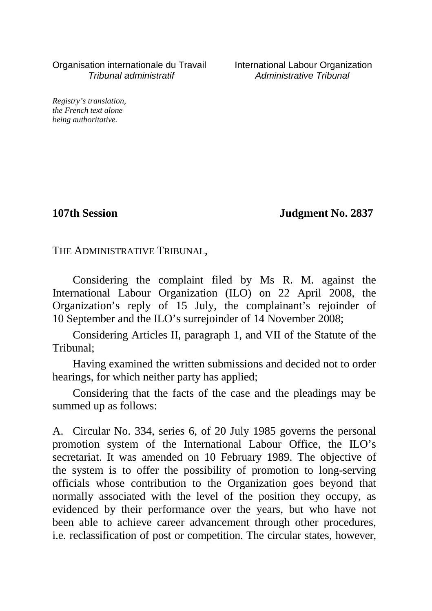Organisation internationale du Travail International Labour Organization<br>*International administratif* Administrative Tribunal

Administrative Tribunal

*Registry's translation, the French text alone being authoritative.*

**107th Session Judgment No. 2837**

THE ADMINISTRATIVE TRIBUNAL,

Considering the complaint filed by Ms R. M. against the International Labour Organization (ILO) on 22 April 2008, the Organization's reply of 15 July, the complainant's rejoinder of 10 September and the ILO's surrejoinder of 14 November 2008;

Considering Articles II, paragraph 1, and VII of the Statute of the Tribunal;

Having examined the written submissions and decided not to order hearings, for which neither party has applied;

Considering that the facts of the case and the pleadings may be summed up as follows:

A. Circular No. 334, series 6, of 20 July 1985 governs the personal promotion system of the International Labour Office, the ILO's secretariat. It was amended on 10 February 1989. The objective of the system is to offer the possibility of promotion to long-serving officials whose contribution to the Organization goes beyond that normally associated with the level of the position they occupy, as evidenced by their performance over the years, but who have not been able to achieve career advancement through other procedures, i.e. reclassification of post or competition. The circular states, however,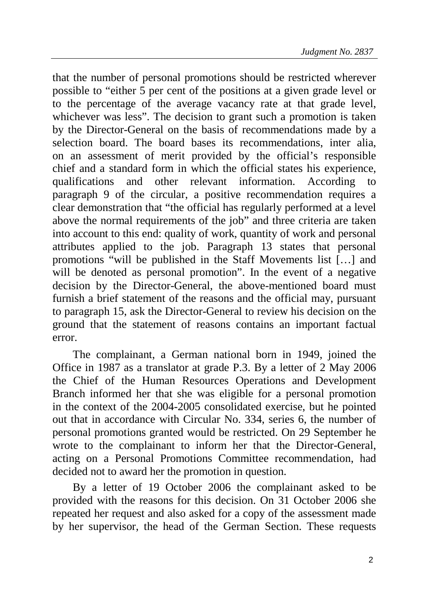that the number of personal promotions should be restricted wherever possible to "either 5 per cent of the positions at a given grade level or to the percentage of the average vacancy rate at that grade level, whichever was less". The decision to grant such a promotion is taken by the Director-General on the basis of recommendations made by a selection board. The board bases its recommendations, inter alia, on an assessment of merit provided by the official's responsible chief and a standard form in which the official states his experience, qualifications and other relevant information. According to paragraph 9 of the circular, a positive recommendation requires a clear demonstration that "the official has regularly performed at a level above the normal requirements of the job" and three criteria are taken into account to this end: quality of work, quantity of work and personal attributes applied to the job. Paragraph 13 states that personal promotions "will be published in the Staff Movements list […] and will be denoted as personal promotion". In the event of a negative decision by the Director-General, the above-mentioned board must furnish a brief statement of the reasons and the official may, pursuant to paragraph 15, ask the Director-General to review his decision on the ground that the statement of reasons contains an important factual error.

The complainant, a German national born in 1949, joined the Office in 1987 as a translator at grade P.3. By a letter of 2 May 2006 the Chief of the Human Resources Operations and Development Branch informed her that she was eligible for a personal promotion in the context of the 2004-2005 consolidated exercise, but he pointed out that in accordance with Circular No. 334, series 6, the number of personal promotions granted would be restricted. On 29 September he wrote to the complainant to inform her that the Director-General, acting on a Personal Promotions Committee recommendation, had decided not to award her the promotion in question.

By a letter of 19 October 2006 the complainant asked to be provided with the reasons for this decision. On 31 October 2006 she repeated her request and also asked for a copy of the assessment made by her supervisor, the head of the German Section. These requests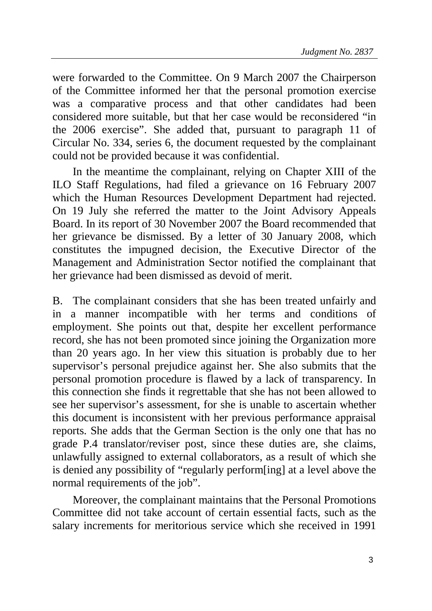were forwarded to the Committee. On 9 March 2007 the Chairperson of the Committee informed her that the personal promotion exercise was a comparative process and that other candidates had been considered more suitable, but that her case would be reconsidered "in the 2006 exercise". She added that, pursuant to paragraph 11 of Circular No. 334, series 6, the document requested by the complainant could not be provided because it was confidential.

In the meantime the complainant, relying on Chapter XIII of the ILO Staff Regulations, had filed a grievance on 16 February 2007 which the Human Resources Development Department had rejected. On 19 July she referred the matter to the Joint Advisory Appeals Board. In its report of 30 November 2007 the Board recommended that her grievance be dismissed. By a letter of 30 January 2008, which constitutes the impugned decision, the Executive Director of the Management and Administration Sector notified the complainant that her grievance had been dismissed as devoid of merit.

B. The complainant considers that she has been treated unfairly and in a manner incompatible with her terms and conditions of employment. She points out that, despite her excellent performance record, she has not been promoted since joining the Organization more than 20 years ago. In her view this situation is probably due to her supervisor's personal prejudice against her. She also submits that the personal promotion procedure is flawed by a lack of transparency. In this connection she finds it regrettable that she has not been allowed to see her supervisor's assessment, for she is unable to ascertain whether this document is inconsistent with her previous performance appraisal reports. She adds that the German Section is the only one that has no grade P.4 translator/reviser post, since these duties are, she claims, unlawfully assigned to external collaborators, as a result of which she is denied any possibility of "regularly perform[ing] at a level above the normal requirements of the job".

Moreover, the complainant maintains that the Personal Promotions Committee did not take account of certain essential facts, such as the salary increments for meritorious service which she received in 1991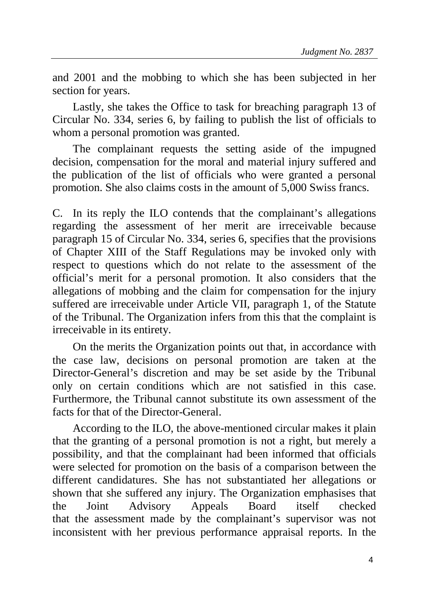and 2001 and the mobbing to which she has been subjected in her section for years.

Lastly, she takes the Office to task for breaching paragraph 13 of Circular No. 334, series 6, by failing to publish the list of officials to whom a personal promotion was granted.

The complainant requests the setting aside of the impugned decision, compensation for the moral and material injury suffered and the publication of the list of officials who were granted a personal promotion. She also claims costs in the amount of 5,000 Swiss francs.

C. In its reply the ILO contends that the complainant's allegations regarding the assessment of her merit are irreceivable because paragraph 15 of Circular No. 334, series 6, specifies that the provisions of Chapter XIII of the Staff Regulations may be invoked only with respect to questions which do not relate to the assessment of the official's merit for a personal promotion. It also considers that the allegations of mobbing and the claim for compensation for the injury suffered are irreceivable under Article VII, paragraph 1, of the Statute of the Tribunal. The Organization infers from this that the complaint is irreceivable in its entirety.

On the merits the Organization points out that, in accordance with the case law, decisions on personal promotion are taken at the Director-General's discretion and may be set aside by the Tribunal only on certain conditions which are not satisfied in this case. Furthermore, the Tribunal cannot substitute its own assessment of the facts for that of the Director-General.

According to the ILO, the above-mentioned circular makes it plain that the granting of a personal promotion is not a right, but merely a possibility, and that the complainant had been informed that officials were selected for promotion on the basis of a comparison between the different candidatures. She has not substantiated her allegations or shown that she suffered any injury. The Organization emphasises that the Joint Advisory Appeals Board itself checked that the assessment made by the complainant's supervisor was not inconsistent with her previous performance appraisal reports. In the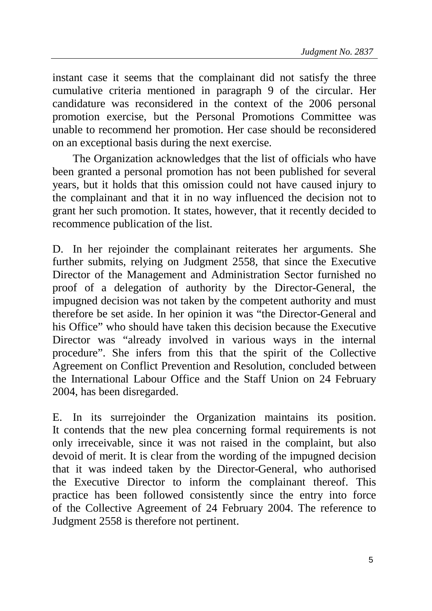instant case it seems that the complainant did not satisfy the three cumulative criteria mentioned in paragraph 9 of the circular. Her candidature was reconsidered in the context of the 2006 personal promotion exercise, but the Personal Promotions Committee was unable to recommend her promotion. Her case should be reconsidered on an exceptional basis during the next exercise.

The Organization acknowledges that the list of officials who have been granted a personal promotion has not been published for several years, but it holds that this omission could not have caused injury to the complainant and that it in no way influenced the decision not to grant her such promotion. It states, however, that it recently decided to recommence publication of the list.

D. In her rejoinder the complainant reiterates her arguments. She further submits, relying on Judgment 2558, that since the Executive Director of the Management and Administration Sector furnished no proof of a delegation of authority by the Director-General, the impugned decision was not taken by the competent authority and must therefore be set aside. In her opinion it was "the Director-General and his Office" who should have taken this decision because the Executive Director was "already involved in various ways in the internal procedure". She infers from this that the spirit of the Collective Agreement on Conflict Prevention and Resolution, concluded between the International Labour Office and the Staff Union on 24 February 2004, has been disregarded.

E. In its surrejoinder the Organization maintains its position. It contends that the new plea concerning formal requirements is not only irreceivable, since it was not raised in the complaint, but also devoid of merit. It is clear from the wording of the impugned decision that it was indeed taken by the Director-General, who authorised the Executive Director to inform the complainant thereof. This practice has been followed consistently since the entry into force of the Collective Agreement of 24 February 2004. The reference to Judgment 2558 is therefore not pertinent.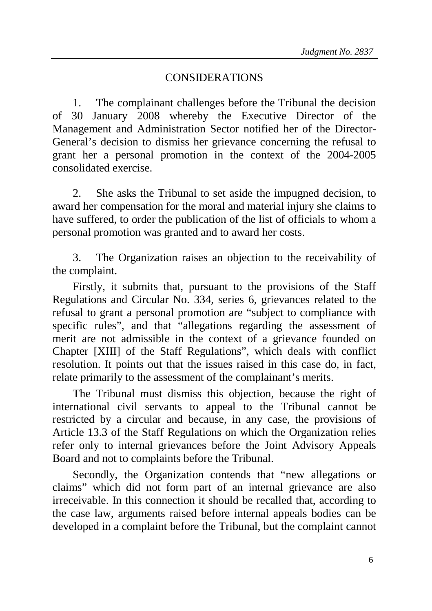## CONSIDERATIONS

1. The complainant challenges before the Tribunal the decision of 30 January 2008 whereby the Executive Director of the Management and Administration Sector notified her of the Director-General's decision to dismiss her grievance concerning the refusal to grant her a personal promotion in the context of the 2004-2005 consolidated exercise.

2. She asks the Tribunal to set aside the impugned decision, to award her compensation for the moral and material injury she claims to have suffered, to order the publication of the list of officials to whom a personal promotion was granted and to award her costs.

3. The Organization raises an objection to the receivability of the complaint.

Firstly, it submits that, pursuant to the provisions of the Staff Regulations and Circular No. 334, series 6, grievances related to the refusal to grant a personal promotion are "subject to compliance with specific rules", and that "allegations regarding the assessment of merit are not admissible in the context of a grievance founded on Chapter [XIII] of the Staff Regulations", which deals with conflict resolution. It points out that the issues raised in this case do, in fact, relate primarily to the assessment of the complainant's merits.

The Tribunal must dismiss this objection, because the right of international civil servants to appeal to the Tribunal cannot be restricted by a circular and because, in any case, the provisions of Article 13.3 of the Staff Regulations on which the Organization relies refer only to internal grievances before the Joint Advisory Appeals Board and not to complaints before the Tribunal.

Secondly, the Organization contends that "new allegations or claims" which did not form part of an internal grievance are also irreceivable. In this connection it should be recalled that, according to the case law, arguments raised before internal appeals bodies can be developed in a complaint before the Tribunal, but the complaint cannot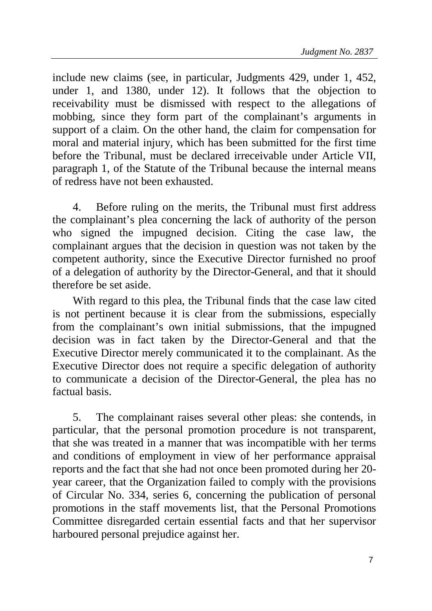include new claims (see, in particular, Judgments 429, under 1, 452, under 1, and 1380, under 12). It follows that the objection to receivability must be dismissed with respect to the allegations of mobbing, since they form part of the complainant's arguments in support of a claim. On the other hand, the claim for compensation for moral and material injury, which has been submitted for the first time before the Tribunal, must be declared irreceivable under Article VII, paragraph 1, of the Statute of the Tribunal because the internal means of redress have not been exhausted.

4. Before ruling on the merits, the Tribunal must first address the complainant's plea concerning the lack of authority of the person who signed the impugned decision. Citing the case law, the complainant argues that the decision in question was not taken by the competent authority, since the Executive Director furnished no proof of a delegation of authority by the Director-General, and that it should therefore be set aside.

With regard to this plea, the Tribunal finds that the case law cited is not pertinent because it is clear from the submissions, especially from the complainant's own initial submissions, that the impugned decision was in fact taken by the Director-General and that the Executive Director merely communicated it to the complainant. As the Executive Director does not require a specific delegation of authority to communicate a decision of the Director-General, the plea has no factual basis.

5. The complainant raises several other pleas: she contends, in particular, that the personal promotion procedure is not transparent, that she was treated in a manner that was incompatible with her terms and conditions of employment in view of her performance appraisal reports and the fact that she had not once been promoted during her 20 year career, that the Organization failed to comply with the provisions of Circular No. 334, series 6, concerning the publication of personal promotions in the staff movements list, that the Personal Promotions Committee disregarded certain essential facts and that her supervisor harboured personal prejudice against her.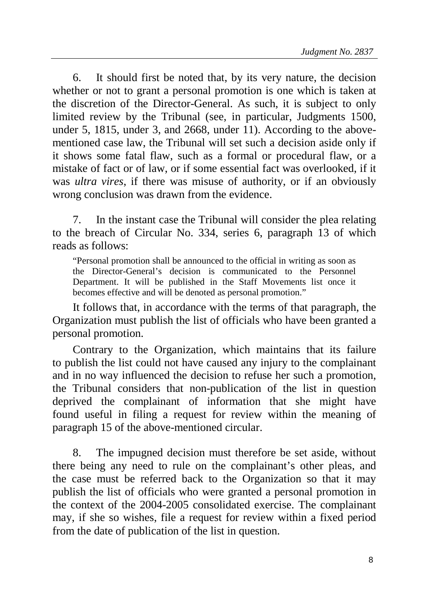6. It should first be noted that, by its very nature, the decision whether or not to grant a personal promotion is one which is taken at the discretion of the Director-General. As such, it is subject to only limited review by the Tribunal (see, in particular, Judgments 1500, under 5, 1815, under 3, and 2668, under 11). According to the abovementioned case law, the Tribunal will set such a decision aside only if it shows some fatal flaw, such as a formal or procedural flaw, or a mistake of fact or of law, or if some essential fact was overlooked, if it was *ultra vires*, if there was misuse of authority, or if an obviously wrong conclusion was drawn from the evidence.

7. In the instant case the Tribunal will consider the plea relating to the breach of Circular No. 334, series 6, paragraph 13 of which reads as follows:

"Personal promotion shall be announced to the official in writing as soon as the Director-General's decision is communicated to the Personnel Department. It will be published in the Staff Movements list once it becomes effective and will be denoted as personal promotion."

It follows that, in accordance with the terms of that paragraph, the Organization must publish the list of officials who have been granted a personal promotion.

Contrary to the Organization, which maintains that its failure to publish the list could not have caused any injury to the complainant and in no way influenced the decision to refuse her such a promotion, the Tribunal considers that non-publication of the list in question deprived the complainant of information that she might have found useful in filing a request for review within the meaning of paragraph 15 of the above-mentioned circular.

8. The impugned decision must therefore be set aside, without there being any need to rule on the complainant's other pleas, and the case must be referred back to the Organization so that it may publish the list of officials who were granted a personal promotion in the context of the 2004-2005 consolidated exercise. The complainant may, if she so wishes, file a request for review within a fixed period from the date of publication of the list in question.